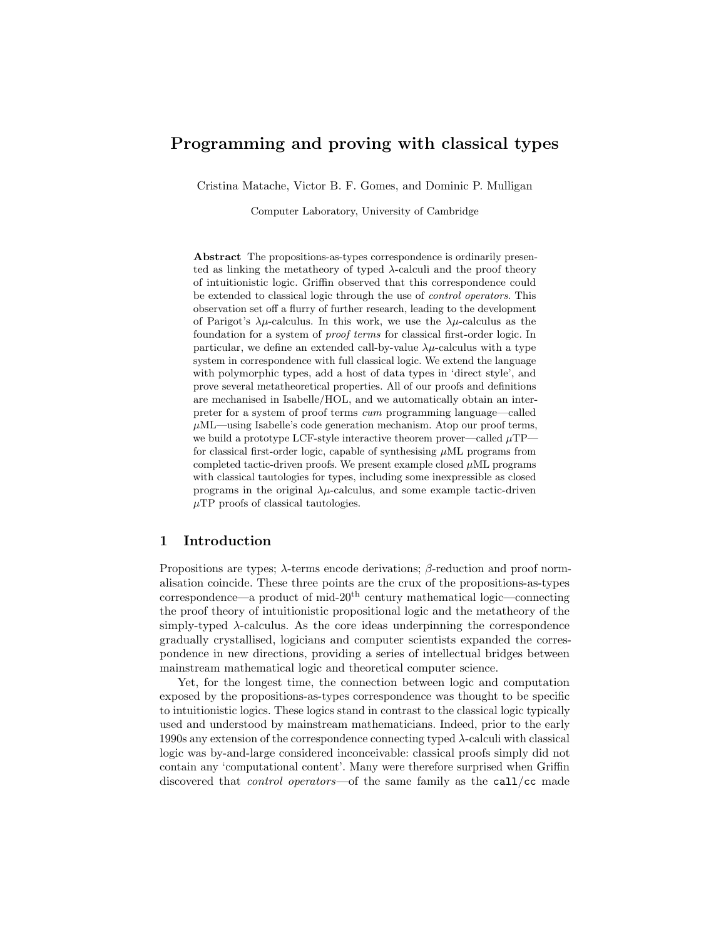# Programming and proving with classical types

Cristina Matache, Victor B. F. Gomes, and Dominic P. Mulligan

Computer Laboratory, University of Cambridge

Abstract The propositions-as-types correspondence is ordinarily presented as linking the metatheory of typed  $\lambda$ -calculi and the proof theory of intuitionistic logic. Griffin observed that this correspondence could be extended to classical logic through the use of control operators. This observation set off a flurry of further research, leading to the development of Parigot's  $\lambda \mu$ -calculus. In this work, we use the  $\lambda \mu$ -calculus as the foundation for a system of proof terms for classical first-order logic. In particular, we define an extended call-by-value  $\lambda \mu$ -calculus with a type system in correspondence with full classical logic. We extend the language with polymorphic types, add a host of data types in 'direct style', and prove several metatheoretical properties. All of our proofs and definitions are mechanised in Isabelle/HOL, and we automatically obtain an interpreter for a system of proof terms cum programming language—called  $\mu$ ML—using Isabelle's code generation mechanism. Atop our proof terms, we build a prototype LCF-style interactive theorem prover—called  $\mu$ TP for classical first-order logic, capable of synthesising  $\mu$ ML programs from completed tactic-driven proofs. We present example closed  $\mu$ ML programs with classical tautologies for types, including some inexpressible as closed programs in the original  $\lambda \mu$ -calculus, and some example tactic-driven  $\mu$ TP proofs of classical tautologies.

# 1 Introduction

Propositions are types;  $\lambda$ -terms encode derivations;  $\beta$ -reduction and proof normalisation coincide. These three points are the crux of the propositions-as-types correspondence—a product of mid- $20<sup>th</sup>$  century mathematical logic—connecting the proof theory of intuitionistic propositional logic and the metatheory of the simply-typed  $\lambda$ -calculus. As the core ideas underpinning the correspondence gradually crystallised, logicians and computer scientists expanded the correspondence in new directions, providing a series of intellectual bridges between mainstream mathematical logic and theoretical computer science.

Yet, for the longest time, the connection between logic and computation exposed by the propositions-as-types correspondence was thought to be specific to intuitionistic logics. These logics stand in contrast to the classical logic typically used and understood by mainstream mathematicians. Indeed, prior to the early 1990s any extension of the correspondence connecting typed λ-calculi with classical logic was by-and-large considered inconceivable: classical proofs simply did not contain any 'computational content'. Many were therefore surprised when Griffin discovered that control operators—of the same family as the call/cc made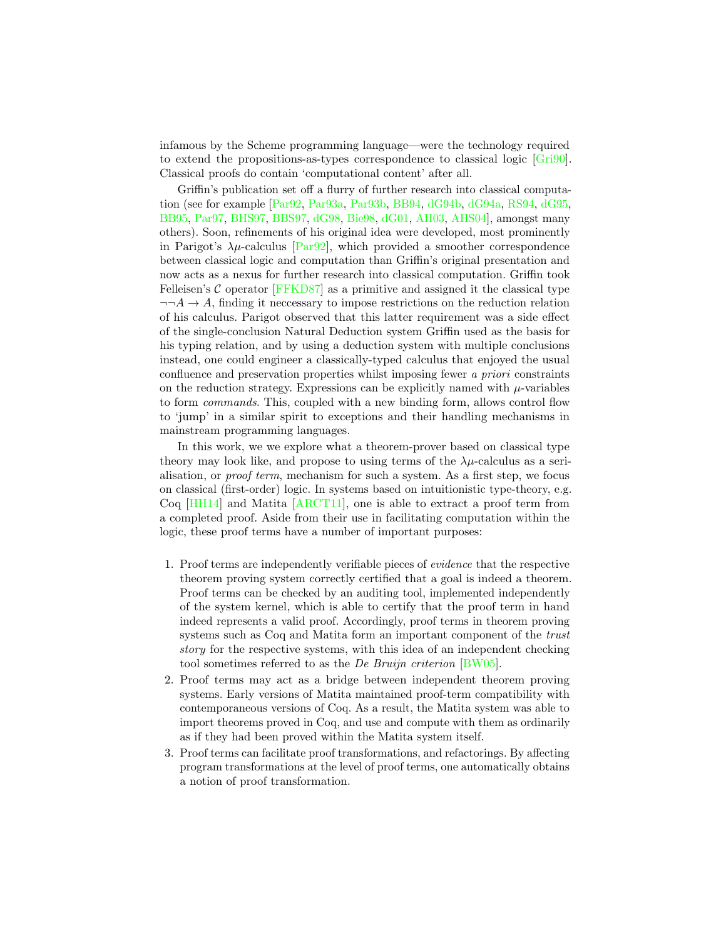infamous by the Scheme programming language—were the technology required to extend the propositions-as-types correspondence to classical logic [\[Gri90\]](#page-18-0). Classical proofs do contain 'computational content' after all.

Griffin's publication set off a flurry of further research into classical computation (see for example [\[Par92,](#page-18-1) [Par93a,](#page-18-2) [Par93b,](#page-18-3) [BB94,](#page-17-0) [dG94b,](#page-18-4) [dG94a,](#page-18-5) [RS94,](#page-18-6) [dG95,](#page-18-7) [BB95,](#page-17-1) [Par97,](#page-18-8) [BHS97,](#page-17-2) [BBS97,](#page-17-3) [dG98,](#page-18-9) [Bie98,](#page-17-4) [dG01,](#page-18-10) [AH03,](#page-17-5) [AHS04\]](#page-17-6), amongst many others). Soon, refinements of his original idea were developed, most prominently in Parigot's  $\lambda \mu$ -calculus [\[Par92\]](#page-18-1), which provided a smoother correspondence between classical logic and computation than Griffin's original presentation and now acts as a nexus for further research into classical computation. Griffin took Felleisen's  $C$  operator [\[FFKD87\]](#page-18-11) as a primitive and assigned it the classical type  $\neg\neg A \rightarrow A$ , finding it necessary to impose restrictions on the reduction relation of his calculus. Parigot observed that this latter requirement was a side effect of the single-conclusion Natural Deduction system Griffin used as the basis for his typing relation, and by using a deduction system with multiple conclusions instead, one could engineer a classically-typed calculus that enjoyed the usual confluence and preservation properties whilst imposing fewer a priori constraints on the reduction strategy. Expressions can be explicitly named with  $\mu$ -variables to form commands. This, coupled with a new binding form, allows control flow to 'jump' in a similar spirit to exceptions and their handling mechanisms in mainstream programming languages.

In this work, we we explore what a theorem-prover based on classical type theory may look like, and propose to using terms of the  $\lambda \mu$ -calculus as a serialisation, or *proof term*, mechanism for such a system. As a first step, we focus on classical (first-order) logic. In systems based on intuitionistic type-theory, e.g. Coq  $[HH14]$  and Matita  $[ART11]$ , one is able to extract a proof term from a completed proof. Aside from their use in facilitating computation within the logic, these proof terms have a number of important purposes:

- 1. Proof terms are independently verifiable pieces of evidence that the respective theorem proving system correctly certified that a goal is indeed a theorem. Proof terms can be checked by an auditing tool, implemented independently of the system kernel, which is able to certify that the proof term in hand indeed represents a valid proof. Accordingly, proof terms in theorem proving systems such as Coq and Matita form an important component of the trust story for the respective systems, with this idea of an independent checking tool sometimes referred to as the De Bruijn criterion [\[BW05\]](#page-17-8).
- 2. Proof terms may act as a bridge between independent theorem proving systems. Early versions of Matita maintained proof-term compatibility with contemporaneous versions of Coq. As a result, the Matita system was able to import theorems proved in Coq, and use and compute with them as ordinarily as if they had been proved within the Matita system itself.
- 3. Proof terms can facilitate proof transformations, and refactorings. By affecting program transformations at the level of proof terms, one automatically obtains a notion of proof transformation.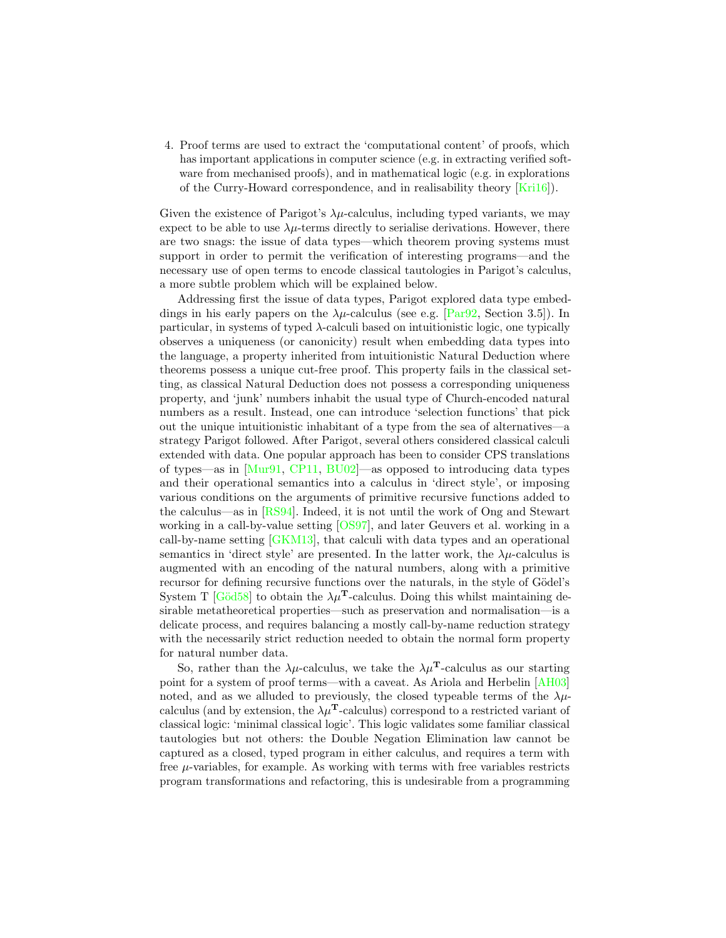4. Proof terms are used to extract the 'computational content' of proofs, which has important applications in computer science (e.g. in extracting verified software from mechanised proofs), and in mathematical logic (e.g. in explorations of the Curry-Howard correspondence, and in realisability theory [\[Kri16\]](#page-18-13)).

Given the existence of Parigot's  $\lambda \mu$ -calculus, including typed variants, we may expect to be able to use  $\lambda \mu$ -terms directly to serialise derivations. However, there are two snags: the issue of data types—which theorem proving systems must support in order to permit the verification of interesting programs—and the necessary use of open terms to encode classical tautologies in Parigot's calculus, a more subtle problem which will be explained below.

Addressing first the issue of data types, Parigot explored data type embeddings in his early papers on the  $\lambda\mu$ -calculus (see e.g. [\[Par92,](#page-18-1) Section 3.5]). In particular, in systems of typed  $\lambda$ -calculi based on intuitionistic logic, one typically observes a uniqueness (or canonicity) result when embedding data types into the language, a property inherited from intuitionistic Natural Deduction where theorems possess a unique cut-free proof. This property fails in the classical setting, as classical Natural Deduction does not possess a corresponding uniqueness property, and 'junk' numbers inhabit the usual type of Church-encoded natural numbers as a result. Instead, one can introduce 'selection functions' that pick out the unique intuitionistic inhabitant of a type from the sea of alternatives—a strategy Parigot followed. After Parigot, several others considered classical calculi extended with data. One popular approach has been to consider CPS translations of types—as in [\[Mur91,](#page-18-14) [CP11,](#page-18-15) [BU02\]](#page-17-9)—as opposed to introducing data types and their operational semantics into a calculus in 'direct style', or imposing various conditions on the arguments of primitive recursive functions added to the calculus—as in [\[RS94\]](#page-18-6). Indeed, it is not until the work of Ong and Stewart working in a call-by-value setting [\[OS97\]](#page-18-16), and later Geuvers et al. working in a call-by-name setting [\[GKM13\]](#page-18-17), that calculi with data types and an operational semantics in 'direct style' are presented. In the latter work, the  $\lambda \mu$ -calculus is augmented with an encoding of the natural numbers, along with a primitive recursor for defining recursive functions over the naturals, in the style of Gödel's System T [Göd58] to obtain the  $\lambda \mu^T$ -calculus. Doing this whilst maintaining desirable metatheoretical properties—such as preservation and normalisation—is a delicate process, and requires balancing a mostly call-by-name reduction strategy with the necessarily strict reduction needed to obtain the normal form property for natural number data.

So, rather than the  $\lambda \mu$ -calculus, we take the  $\lambda \mu$ <sup>T</sup>-calculus as our starting point for a system of proof terms—with a caveat. As Ariola and Herbelin [\[AH03\]](#page-17-5) noted, and as we alluded to previously, the closed typeable terms of the  $\lambda \mu$ calculus (and by extension, the  $\lambda \mu^T$ -calculus) correspond to a restricted variant of classical logic: 'minimal classical logic'. This logic validates some familiar classical tautologies but not others: the Double Negation Elimination law cannot be captured as a closed, typed program in either calculus, and requires a term with free  $\mu$ -variables, for example. As working with terms with free variables restricts program transformations and refactoring, this is undesirable from a programming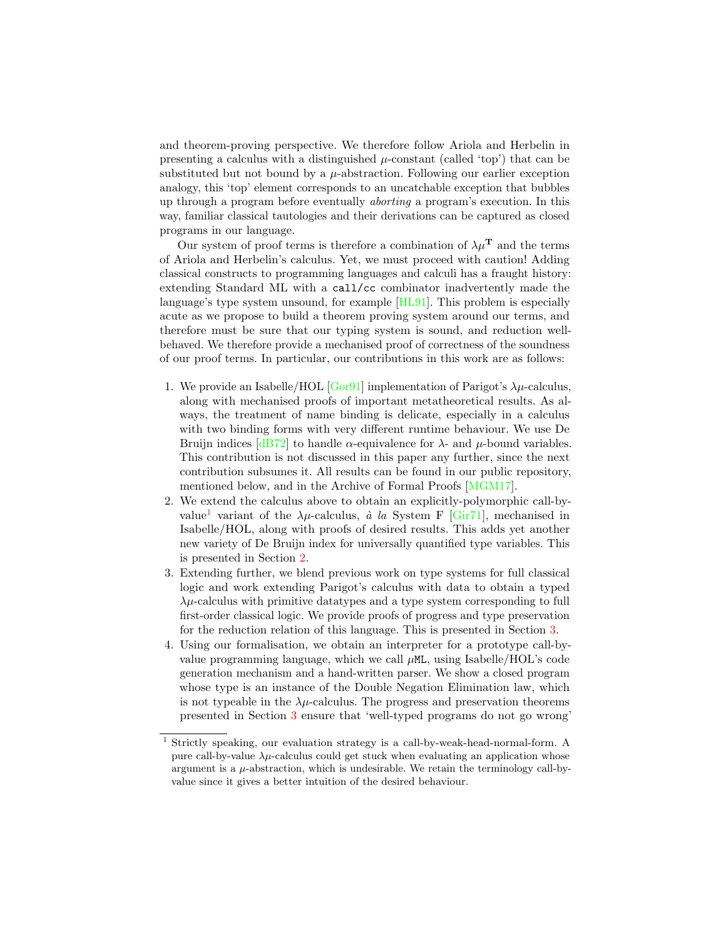and theorem-proving perspective. We therefore follow Ariola and Herbelin in presenting a calculus with a distinguished  $\mu$ -constant (called 'top') that can be substituted but not bound by a  $\mu$ -abstraction. Following our earlier exception analogy, this 'top' element corresponds to an uncatchable exception that bubbles up through a program before eventually aborting a program's execution. In this way, familiar classical tautologies and their derivations can be captured as closed programs in our language.

Our system of proof terms is therefore a combination of  $\lambda\mu^{\mathbf{T}}$  and the terms of Ariola and Herbelin's calculus. Yet, we must proceed with caution! Adding classical constructs to programming languages and calculi has a fraught history: extending Standard ML with a call/cc combinator inadvertently made the language's type system unsound, for example [\[HL91\]](#page-18-19). This problem is especially acute as we propose to build a theorem proving system around our terms, and therefore must be sure that our typing system is sound, and reduction wellbehaved. We therefore provide a mechanised proof of correctness of the soundness of our proof terms. In particular, our contributions in this work are as follows:

- 1. We provide an Isabelle/HOL [\[Gor91\]](#page-18-20) implementation of Parigot's  $\lambda \mu$ -calculus, along with mechanised proofs of important metatheoretical results. As always, the treatment of name binding is delicate, especially in a calculus with two binding forms with very different runtime behaviour. We use De Bruijn indices  $\left[\text{dB72}\right]$  to handle  $\alpha$ -equivalence for  $\lambda$ - and  $\mu$ -bound variables. This contribution is not discussed in this paper any further, since the next contribution subsumes it. All results can be found in our public repository, mentioned below, and in the Archive of Formal Proofs [\[MGM17\]](#page-18-22).
- 2. We extend the calculus above to obtain an explicitly-polymorphic call-by-value<sup>[1](#page-3-0)</sup> variant of the  $\lambda \mu$ -calculus, à la System F [\[Gir71\]](#page-18-23), mechanised in Isabelle/HOL, along with proofs of desired results. This adds yet another new variety of De Bruijn index for universally quantified type variables. This is presented in Section [2.](#page-4-0)
- 3. Extending further, we blend previous work on type systems for full classical logic and work extending Parigot's calculus with data to obtain a typed  $\lambda \mu$ -calculus with primitive datatypes and a type system corresponding to full first-order classical logic. We provide proofs of progress and type preservation for the reduction relation of this language. This is presented in Section [3.](#page-10-0)
- 4. Using our formalisation, we obtain an interpreter for a prototype call-byvalue programming language, which we call  $\mu$ ML, using Isabelle/HOL's code generation mechanism and a hand-written parser. We show a closed program whose type is an instance of the Double Negation Elimination law, which is not typeable in the  $\lambda \mu$ -calculus. The progress and preservation theorems presented in Section [3](#page-10-0) ensure that 'well-typed programs do not go wrong'

<span id="page-3-0"></span><sup>1</sup> Strictly speaking, our evaluation strategy is a call-by-weak-head-normal-form. A pure call-by-value  $\lambda \mu$ -calculus could get stuck when evaluating an application whose argument is a  $\mu$ -abstraction, which is undesirable. We retain the terminology call-byvalue since it gives a better intuition of the desired behaviour.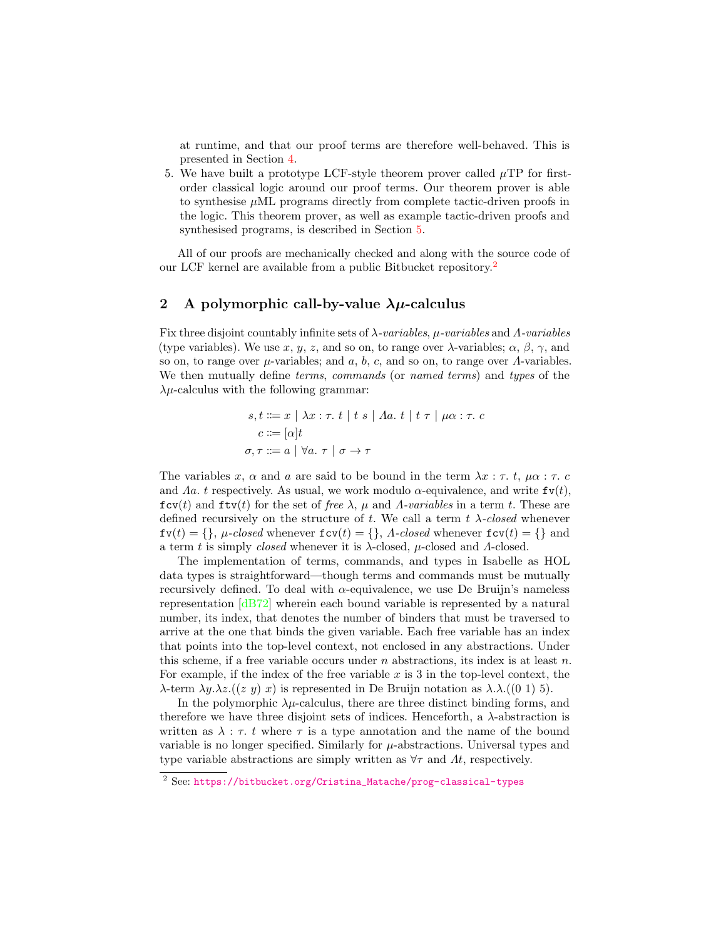at runtime, and that our proof terms are therefore well-behaved. This is presented in Section [4.](#page-13-0)

5. We have built a prototype LCF-style theorem prover called  $\mu$ TP for firstorder classical logic around our proof terms. Our theorem prover is able to synthesise  $\mu$ ML programs directly from complete tactic-driven proofs in the logic. This theorem prover, as well as example tactic-driven proofs and synthesised programs, is described in Section [5.](#page-14-0)

All of our proofs are mechanically checked and along with the source code of our LCF kernel are available from a public Bitbucket repository.[2](#page-4-1)

# <span id="page-4-0"></span>2 A polymorphic call-by-value  $\lambda \mu$ -calculus

Fix three disjoint countably infinite sets of  $\lambda$ -variables,  $\mu$ -variables and  $\Lambda$ -variables (type variables). We use x, y, z, and so on, to range over  $\lambda$ -variables;  $\alpha$ ,  $\beta$ ,  $\gamma$ , and so on, to range over  $\mu$ -variables; and a, b, c, and so on, to range over  $\Lambda$ -variables. We then mutually define *terms, commands* (or *named terms*) and *types* of the  $\lambda \mu$ -calculus with the following grammar:

$$
s, t ::= x \mid \lambda x : \tau. t \mid t s \mid \Lambda a. t \mid t \tau \mid \mu \alpha : \tau. c
$$

$$
c ::= [\alpha]t
$$

$$
\sigma, \tau ::= a \mid \forall a. \tau \mid \sigma \rightarrow \tau
$$

The variables x,  $\alpha$  and a are said to be bound in the term  $\lambda x : \tau$ . t,  $\mu \alpha : \tau$ . c and  $\Lambda a$ , t respectively. As usual, we work modulo  $\alpha$ -equivalence, and write  $f\nu(t)$ ,  $fcv(t)$  and  $ftv(t)$  for the set of free  $\lambda$ ,  $\mu$  and  $\Lambda$ -variables in a term t. These are defined recursively on the structure of t. We call a term t  $\lambda$ -closed whenever  $f(v(t) = \{\}, \mu\text{-closed whenever } f(v(t) = \{\}, \Lambda\text{-closed whenever } f(v(t) = \{\} \text{ and }$ a term t is simply *closed* whenever it is  $\lambda$ -closed,  $\mu$ -closed and  $\Lambda$ -closed.

The implementation of terms, commands, and types in Isabelle as HOL data types is straightforward—though terms and commands must be mutually recursively defined. To deal with  $\alpha$ -equivalence, we use De Bruijn's nameless representation [\[dB72\]](#page-18-21) wherein each bound variable is represented by a natural number, its index, that denotes the number of binders that must be traversed to arrive at the one that binds the given variable. Each free variable has an index that points into the top-level context, not enclosed in any abstractions. Under this scheme, if a free variable occurs under  $n$  abstractions, its index is at least  $n$ . For example, if the index of the free variable  $x$  is 3 in the top-level context, the λ-term  $\lambda y.\lambda z.((z y) x)$  is represented in De Bruijn notation as  $\lambda.\lambda.((0 1) 5)$ .

In the polymorphic  $\lambda \mu$ -calculus, there are three distinct binding forms, and therefore we have three disjoint sets of indices. Henceforth, a  $\lambda$ -abstraction is written as  $\lambda : \tau$ , t where  $\tau$  is a type annotation and the name of the bound variable is no longer specified. Similarly for  $\mu$ -abstractions. Universal types and type variable abstractions are simply written as  $\forall \tau$  and  $\Lambda t$ , respectively.

<span id="page-4-1"></span><sup>&</sup>lt;sup>2</sup> See: [https://bitbucket.org/Cristina\\_Matache/prog-classical-types](https://bitbucket.org/Cristina_Matache/prog-classical-types)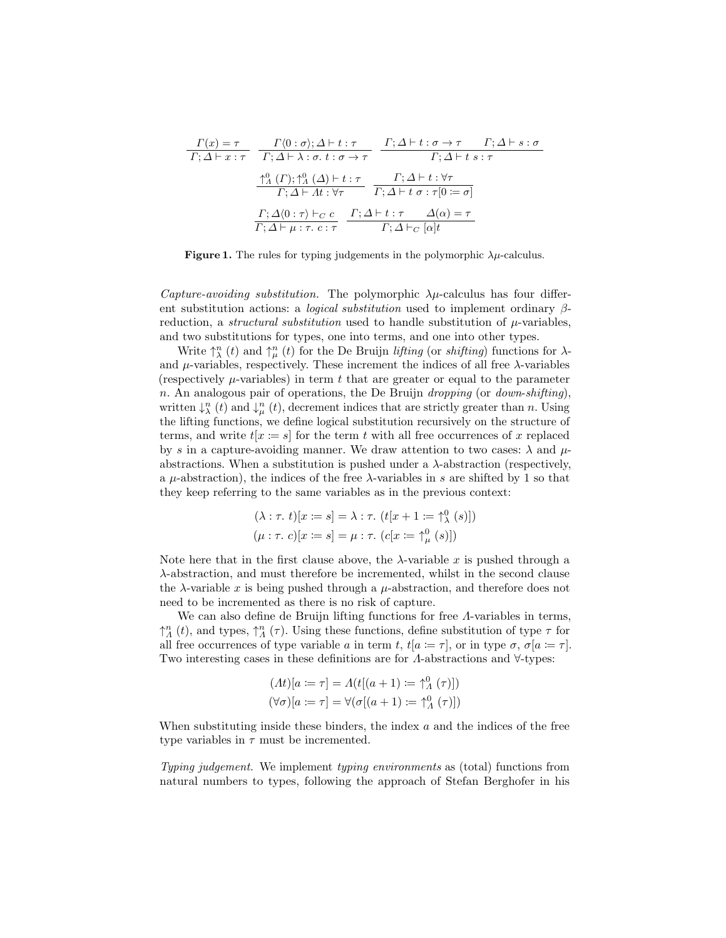$$
\frac{\Gamma(x) = \tau}{\Gamma; \Delta \vdash x : \tau} \quad \frac{\Gamma \langle 0 : \sigma \rangle; \Delta \vdash t : \tau}{\Gamma; \Delta \vdash \lambda : \sigma. \ t : \sigma \to \tau} \quad \frac{\Gamma; \Delta \vdash t : \sigma \to \tau \quad \Gamma; \Delta \vdash s : \sigma}{\Gamma; \Delta \vdash t : \tau}
$$
\n
$$
\frac{\uparrow_{\Delta}^{0}(\Gamma); \uparrow_{\Delta}^{0}(\Delta) \vdash t : \tau}{\Gamma; \Delta \vdash At : \forall \tau} \quad \frac{\Gamma; \Delta \vdash t : \forall \tau}{\Gamma; \Delta \vdash t \sigma : \tau[0 := \sigma]}
$$
\n
$$
\frac{\Gamma; \Delta \langle 0 : \tau \rangle \vdash_C c}{\Gamma; \Delta \vdash \mu : \tau. c : \tau} \quad \frac{\Gamma; \Delta \vdash t : \tau \quad \Delta(\alpha) = \tau}{\Gamma; \Delta \vdash_C [\alpha] t}
$$

<span id="page-5-0"></span>**Figure 1.** The rules for typing judgements in the polymorphic  $\lambda \mu$ -calculus.

Capture-avoiding substitution. The polymorphic  $\lambda \mu$ -calculus has four different substitution actions: a *logical substitution* used to implement ordinary  $\beta$ reduction, a *structural substitution* used to handle substitution of  $\mu$ -variables, and two substitutions for types, one into terms, and one into other types.

Write  $\uparrow^n_{\lambda}(t)$  and  $\uparrow^n_{\mu}(t)$  for the De Bruijn *lifting* (or *shifting*) functions for  $\lambda$ and  $\mu$ -variables, respectively. These increment the indices of all free  $\lambda$ -variables (respectively  $\mu$ -variables) in term t that are greater or equal to the parameter n. An analogous pair of operations, the De Bruijn *dropping* (or *down-shifting*), written  $\downarrow^n_{\lambda}(t)$  and  $\downarrow^n_{\mu}(t)$ , decrement indices that are strictly greater than n. Using the lifting functions, we define logical substitution recursively on the structure of terms, and write  $t[x := s]$  for the term t with all free occurrences of x replaced by s in a capture-avoiding manner. We draw attention to two cases:  $\lambda$  and  $\mu$ abstractions. When a substitution is pushed under a  $\lambda$ -abstraction (respectively, a  $\mu$ -abstraction), the indices of the free  $\lambda$ -variables in s are shifted by 1 so that they keep referring to the same variables as in the previous context:

$$
(\lambda : \tau. t)[x := s] = \lambda : \tau. (t[x + 1 := \uparrow^0_{\lambda} (s)])
$$
  

$$
(\mu : \tau. c)[x := s] = \mu : \tau. (c[x := \uparrow^0_{\mu} (s)])
$$

Note here that in the first clause above, the  $\lambda$ -variable x is pushed through a λ-abstraction, and must therefore be incremented, whilst in the second clause the  $\lambda$ -variable x is being pushed through a  $\mu$ -abstraction, and therefore does not need to be incremented as there is no risk of capture.

We can also define de Bruijn lifting functions for free Λ-variables in terms,  $\uparrow_A^n$  (*t*), and types,  $\uparrow_A^n$  (*τ*). Using these functions, define substitution of type  $\tau$  for all free occurrences of type variable a in term t,  $t[a := \tau]$ , or in type  $\sigma$ ,  $\sigma[a := \tau]$ . Two interesting cases in these definitions are for Λ-abstractions and ∀-types:

$$
(At)[a := \tau] = A(t[(a+1) := \uparrow_A^0 (\tau)])
$$

$$
(\forall \sigma)[a := \tau] = \forall (\sigma[(a+1) := \uparrow_A^0 (\tau)])
$$

When substituting inside these binders, the index  $a$  and the indices of the free type variables in  $\tau$  must be incremented.

Typing judgement. We implement typing environments as (total) functions from natural numbers to types, following the approach of Stefan Berghofer in his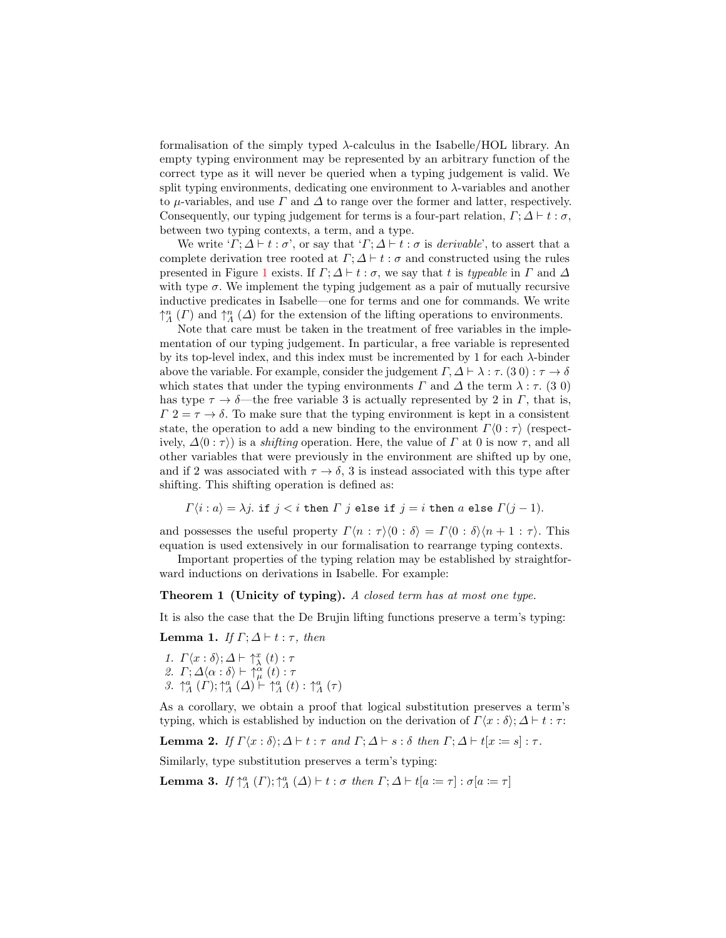formalisation of the simply typed  $\lambda$ -calculus in the Isabelle/HOL library. An empty typing environment may be represented by an arbitrary function of the correct type as it will never be queried when a typing judgement is valid. We split typing environments, dedicating one environment to  $\lambda$ -variables and another to  $\mu$ -variables, and use  $\Gamma$  and  $\Delta$  to range over the former and latter, respectively. Consequently, our typing judgement for terms is a four-part relation,  $\Gamma$ ;  $\Delta \vdash t : \sigma$ , between two typing contexts, a term, and a type.

We write ' $\Gamma$ ;  $\Delta \vdash t : \sigma'$ , or say that ' $\Gamma$ ;  $\Delta \vdash t : \sigma$  is *derivable*', to assert that a complete derivation tree rooted at  $\Gamma$ ;  $\Delta \vdash t : \sigma$  and constructed using the rules presented in Figure [1](#page-5-0) exists. If  $\Gamma$ ;  $\Delta \vdash t : \sigma$ , we say that t is typeable in  $\Gamma$  and  $\Delta$ with type  $\sigma$ . We implement the typing judgement as a pair of mutually recursive inductive predicates in Isabelle—one for terms and one for commands. We write  $\uparrow_A^n$  ( $\varGamma$ ) and  $\uparrow_A^n$  ( $\varDelta$ ) for the extension of the lifting operations to environments.

Note that care must be taken in the treatment of free variables in the implementation of our typing judgement. In particular, a free variable is represented by its top-level index, and this index must be incremented by 1 for each  $\lambda$ -binder above the variable. For example, consider the judgement  $\Gamma, \Delta \vdash \lambda : \tau$ . (3 0) :  $\tau \rightarrow \delta$ which states that under the typing environments  $\Gamma$  and  $\Delta$  the term  $\lambda : \tau$ . (3 0) has type  $\tau \to \delta$ —the free variable 3 is actually represented by 2 in  $\Gamma$ , that is,  $\Gamma$  2 =  $\tau \rightarrow \delta$ . To make sure that the typing environment is kept in a consistent state, the operation to add a new binding to the environment  $\Gamma(0: \tau)$  (respectively,  $\Delta(0 : \tau)$  is a *shifting* operation. Here, the value of  $\Gamma$  at 0 is now  $\tau$ , and all other variables that were previously in the environment are shifted up by one, and if 2 was associated with  $\tau \to \delta$ , 3 is instead associated with this type after shifting. This shifting operation is defined as:

<span id="page-6-0"></span>
$$
\Gamma \langle i : a \rangle = \lambda j. \text{ if } j < i \text{ then } \Gamma \text{ } j \text{ else if } j = i \text{ then } a \text{ else } \Gamma(j-1).
$$

and possesses the useful property  $\Gamma(n : \tau \setminus 0 : \delta) = \Gamma(0 : \delta \setminus (n + 1 : \tau)$ . This equation is used extensively in our formalisation to rearrange typing contexts.

Important properties of the typing relation may be established by straightforward inductions on derivations in Isabelle. For example:

#### Theorem 1 (Unicity of typing). A closed term has at most one type.

It is also the case that the De Brujin lifting functions preserve a term's typing:

**Lemma 1.** If  $\Gamma; \Delta \vdash t : \tau$ , then

1.  $\Gamma \langle x : \delta \rangle; \Delta \vdash \uparrow_{\lambda}^{x}(t) : \tau$ 1.  $I \setminus \mathcal{X} \cdot \mathcal{O}/\mathcal{A} \cap \mathcal{Y} \setminus \mathcal{U} \setminus \mathcal{V}$ <br>2.  $\Gamma; \Delta \langle \alpha : \delta \rangle \vdash \uparrow_{\mu}^{\alpha} (t) : \tau$ 3.  $\uparrow_A^a(\Gamma)$ ;  $\uparrow_A^a(\Delta)$   $\vdash \uparrow_A^a(t)$  :  $\uparrow_A^a(\tau)$ 

<span id="page-6-1"></span>As a corollary, we obtain a proof that logical substitution preserves a term's typing, which is established by induction on the derivation of  $\Gamma\langle x : \delta \rangle; \Delta \vdash t : \tau$ :

**Lemma 2.** If  $\Gamma\langle x : \delta \rangle; \Delta \vdash t : \tau$  and  $\Gamma; \Delta \vdash s : \delta$  then  $\Gamma; \Delta \vdash t[x := s] : \tau$ .

Similarly, type substitution preserves a term's typing:

<span id="page-6-2"></span>**Lemma 3.** If  $\uparrow_A^a(\Gamma)$ ;  $\uparrow_A^a(\Delta) \vdash t : \sigma$  then  $\Gamma$ ;  $\Delta \vdash t[a := \tau] : \sigma[a := \tau]$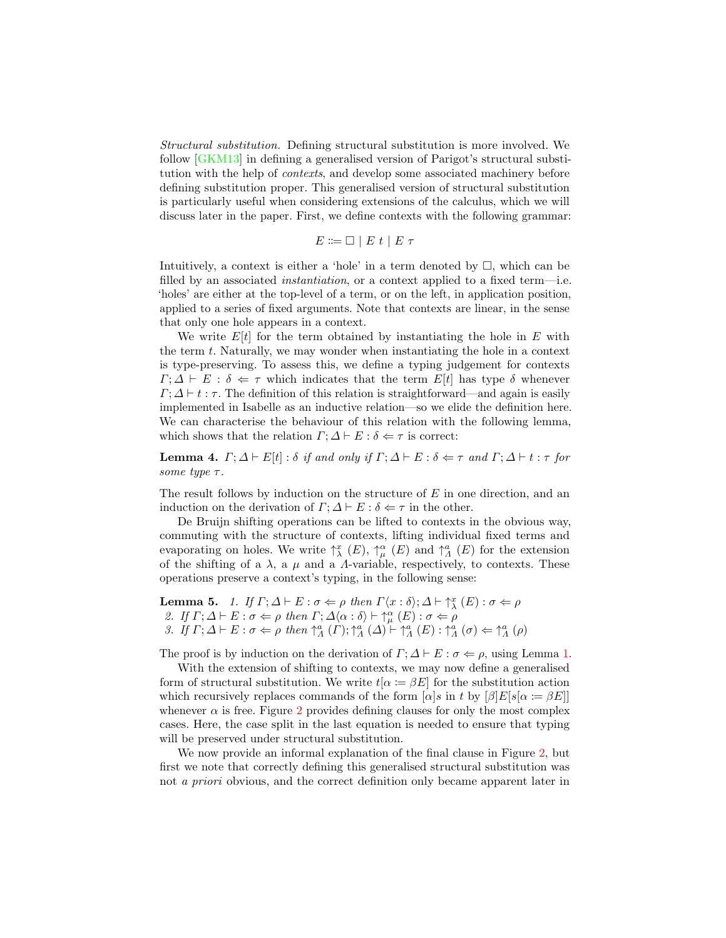Structural substitution. Defining structural substitution is more involved. We follow [\[GKM13\]](#page-18-17) in defining a generalised version of Parigot's structural substitution with the help of contexts, and develop some associated machinery before defining substitution proper. This generalised version of structural substitution is particularly useful when considering extensions of the calculus, which we will discuss later in the paper. First, we define contexts with the following grammar:

$$
E ::= \Box \mid E t \mid E \tau
$$

Intuitively, a context is either a 'hole' in a term denoted by  $\Box$ , which can be filled by an associated *instantiation*, or a context applied to a fixed term—i.e. 'holes' are either at the top-level of a term, or on the left, in application position, applied to a series of fixed arguments. Note that contexts are linear, in the sense that only one hole appears in a context.

We write  $E[t]$  for the term obtained by instantiating the hole in E with the term  $t$ . Naturally, we may wonder when instantiating the hole in a context is type-preserving. To assess this, we define a typing judgement for contexts  $\Gamma; \Delta \vdash E : \delta \Leftarrow \tau$  which indicates that the term  $E[t]$  has type  $\delta$  whenever  $\Gamma: \Delta \vdash t : \tau$ . The definition of this relation is straightforward—and again is easily implemented in Isabelle as an inductive relation—so we elide the definition here. We can characterise the behaviour of this relation with the following lemma, which shows that the relation  $\Gamma; \Delta \vdash E : \delta \Leftarrow \tau$  is correct:

**Lemma 4.**  $\Gamma; \Delta \vdash E[t] : \delta$  if and only if  $\Gamma; \Delta \vdash E : \delta \Leftarrow \tau$  and  $\Gamma; \Delta \vdash t : \tau$  for some type  $\tau$ .

The result follows by induction on the structure of  $E$  in one direction, and an induction on the derivation of  $\Gamma$ ;  $\Delta \vdash E : \delta \Leftarrow \tau$  in the other.

De Bruijn shifting operations can be lifted to contexts in the obvious way, commuting with the structure of contexts, lifting individual fixed terms and evaporating on holes. We write  $\uparrow^x_{\lambda}(E)$ ,  $\uparrow^{\alpha}_{\mu}(E)$  and  $\uparrow^a_{\Lambda}(E)$  for the extension of the shifting of a  $\lambda$ , a  $\mu$  and a A-variable, respectively, to contexts. These operations preserve a context's typing, in the following sense:

<span id="page-7-0"></span>**Lemma 5.** 1. If  $\Gamma; \Delta \vdash E : \sigma \Leftarrow \rho$  then  $\Gamma \langle x : \delta \rangle; \Delta \vdash \uparrow^x_\lambda (E) : \sigma \Leftarrow \rho$ 2. If  $\Gamma; \Delta \vdash E : \sigma \Leftarrow \rho$  then  $\Gamma; \Delta \langle \alpha : \delta \rangle \vdash \uparrow^{\alpha}_{\mu} (E) : \sigma \Leftarrow \rho$ 3. If  $\Gamma; \Delta \vdash E : \sigma \Leftarrow \rho$  then  $\uparrow_A^a(\Gamma) : \uparrow_A^a(\Delta) \vdash \uparrow_A^a(E) : \uparrow_A^a(\sigma) \Leftarrow \uparrow_A^a(\rho)$ 

The proof is by induction on the derivation of  $\Gamma$ ;  $\Delta \vdash E : \sigma \Leftarrow \rho$ , using Lemma [1.](#page-6-0)

With the extension of shifting to contexts, we may now define a generalised form of structural substitution. We write  $t[\alpha := \beta E]$  for the substitution action which recursively replaces commands of the form  $[\alpha]s$  in t by  $[\beta]E[s[\alpha] = \beta E]]$ whenever  $\alpha$  is free. Figure [2](#page-8-0) provides defining clauses for only the most complex cases. Here, the case split in the last equation is needed to ensure that typing will be preserved under structural substitution.

We now provide an informal explanation of the final clause in Figure [2,](#page-8-0) but first we note that correctly defining this generalised structural substitution was not a priori obvious, and the correct definition only became apparent later in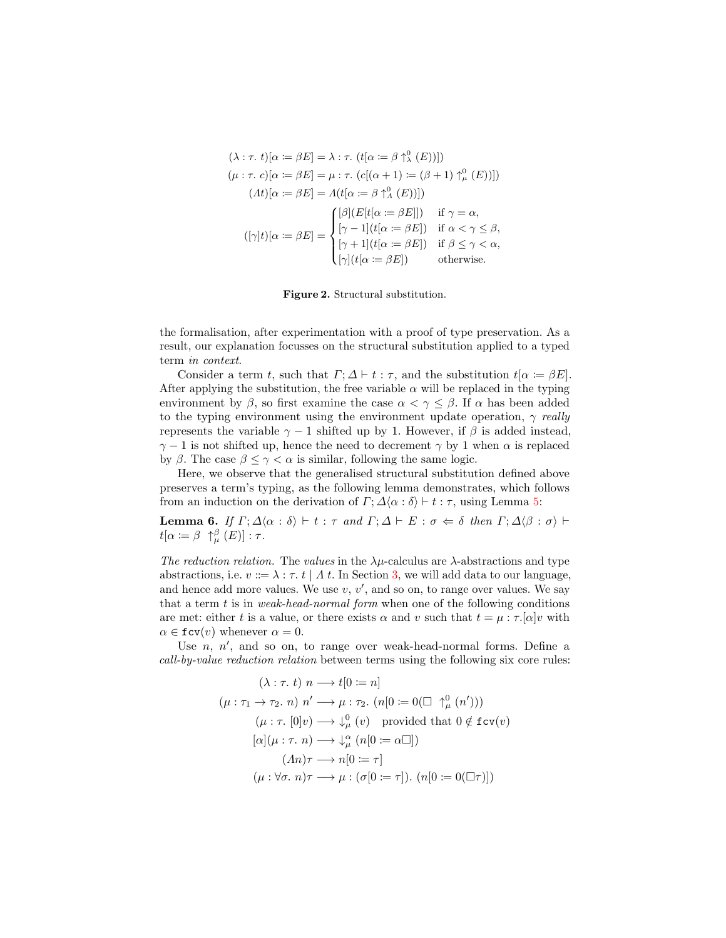$$
(\lambda : \tau. t)[\alpha := \beta E] = \lambda : \tau. (t[\alpha := \beta \uparrow^0_{\lambda} (E))])
$$

$$
(\mu : \tau. c)[\alpha := \beta E] = \mu : \tau. (c[(\alpha + 1) := (\beta + 1) \uparrow^0_{\mu} (E))])
$$

$$
(At)[\alpha := \beta E] = A(t[\alpha := \beta \uparrow^0_{\lambda} (E))])
$$

$$
[(\gamma)t[\alpha := \beta E] = \begin{cases} [\beta][E[t[\alpha := \beta E]]) & \text{if } \gamma = \alpha, \\ [\gamma - 1](t[\alpha := \beta E]) & \text{if } \alpha < \gamma \le \beta, \\ [\gamma + 1](t[\alpha := \beta E]) & \text{if } \beta \le \gamma < \alpha, \\ [\gamma](t[\alpha := \beta E]) & \text{otherwise.} \end{cases}
$$

<span id="page-8-1"></span><span id="page-8-0"></span>Figure 2. Structural substitution.

the formalisation, after experimentation with a proof of type preservation. As a result, our explanation focusses on the structural substitution applied to a typed term in context.

Consider a term t, such that  $\Gamma$ ;  $\Delta \vdash t : \tau$ , and the substitution  $t[\alpha := \beta E]$ . After applying the substitution, the free variable  $\alpha$  will be replaced in the typing environment by  $\beta$ , so first examine the case  $\alpha < \gamma \leq \beta$ . If  $\alpha$  has been added to the typing environment using the environment update operation,  $\gamma$  really represents the variable  $\gamma - 1$  shifted up by 1. However, if  $\beta$  is added instead,  $\gamma$  – 1 is not shifted up, hence the need to decrement  $\gamma$  by 1 when  $\alpha$  is replaced by  $\beta$ . The case  $\beta \leq \gamma < \alpha$  is similar, following the same logic.

Here, we observe that the generalised structural substitution defined above preserves a term's typing, as the following lemma demonstrates, which follows from an induction on the derivation of  $\Gamma$ ;  $\Delta \langle \alpha : \delta \rangle \vdash t : \tau$ , using Lemma [5:](#page-7-0)

Lemma 6. If  $\Gamma; \Delta \langle \alpha : \delta \rangle \vdash t : \tau$  and  $\Gamma; \Delta \vdash E : \sigma \Leftarrow \delta$  then  $\Gamma; \Delta \langle \beta : \sigma \rangle \vdash$  $t[\alpha \coloneqq \beta \ \uparrow^{\beta}_{\mu} (E)]: \tau.$ 

The reduction relation. The values in the  $\lambda \mu$ -calculus are  $\lambda$ -abstractions and type abstractions, i.e.  $v ::= \lambda : \tau. t \mid \Lambda t$ . In Section [3,](#page-10-0) we will add data to our language, and hence add more values. We use  $v, v'$ , and so on, to range over values. We say that a term  $t$  is in *weak-head-normal form* when one of the following conditions are met: either t is a value, or there exists  $\alpha$  and v such that  $t = \mu : \tau$ .  $[\alpha]v$  with  $\alpha \in \texttt{fcv}(v)$  whenever  $\alpha = 0$ .

Use  $n, n'$ , and so on, to range over weak-head-normal forms. Define a call-by-value reduction relation between terms using the following six core rules:

$$
(\lambda : \tau. t) n \longrightarrow t[0 := n]
$$
  
\n
$$
(\mu : \tau_1 \longrightarrow \tau_2. n) n' \longrightarrow \mu : \tau_2. (n[0 := 0(\square \uparrow^0_{\mu} (n'))))
$$
  
\n
$$
(\mu : \tau. [0]v) \longrightarrow \downarrow^0_{\mu} (v) \text{ provided that } 0 \notin \text{fcv}(v)
$$
  
\n
$$
[\alpha](\mu : \tau. n) \longrightarrow \downarrow^{\alpha}_{\mu} (n[0 := \alpha \square])
$$
  
\n
$$
(\Lambda n)\tau \longrightarrow n[0 := \tau]
$$
  
\n
$$
(\mu : \forall \sigma. n)\tau \longrightarrow \mu : (\sigma[0 := \tau]). (n[0 := 0(\square \tau)])
$$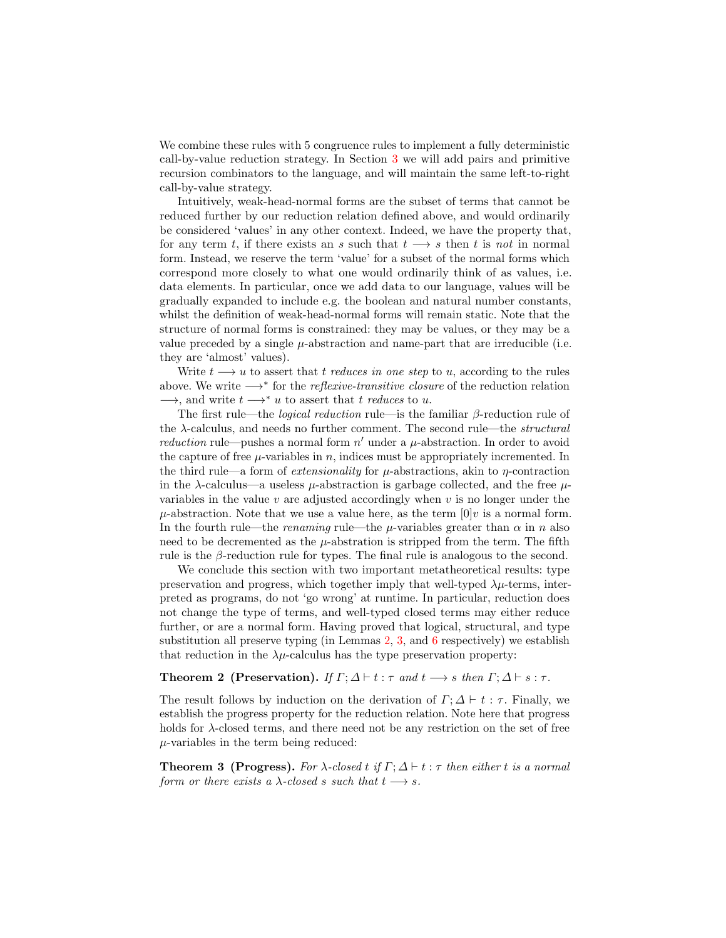We combine these rules with 5 congruence rules to implement a fully deterministic call-by-value reduction strategy. In Section [3](#page-10-0) we will add pairs and primitive recursion combinators to the language, and will maintain the same left-to-right call-by-value strategy.

Intuitively, weak-head-normal forms are the subset of terms that cannot be reduced further by our reduction relation defined above, and would ordinarily be considered 'values' in any other context. Indeed, we have the property that, for any term t, if there exists an s such that  $t \rightarrow s$  then t is not in normal form. Instead, we reserve the term 'value' for a subset of the normal forms which correspond more closely to what one would ordinarily think of as values, i.e. data elements. In particular, once we add data to our language, values will be gradually expanded to include e.g. the boolean and natural number constants, whilst the definition of weak-head-normal forms will remain static. Note that the structure of normal forms is constrained: they may be values, or they may be a value preceded by a single  $\mu$ -abstraction and name-part that are irreducible (i.e. they are 'almost' values).

Write  $t \longrightarrow u$  to assert that t reduces in one step to u, according to the rules above. We write  $\longrightarrow^*$  for the *reflexive-transitive closure* of the reduction relation  $\longrightarrow$ , and write  $t \longrightarrow^* u$  to assert that t reduces to u.

The first rule—the *logical reduction* rule—is the familiar  $\beta$ -reduction rule of the  $\lambda$ -calculus, and needs no further comment. The second rule—the *structural* reduction rule—pushes a normal form  $n'$  under a  $\mu$ -abstraction. In order to avoid the capture of free  $\mu$ -variables in n, indices must be appropriately incremented. In the third rule—a form of *extensionality* for  $\mu$ -abstractions, akin to *n*-contraction in the  $\lambda$ -calculus—a useless  $\mu$ -abstraction is garbage collected, and the free  $\mu$ variables in the value  $v$  are adjusted accordingly when  $v$  is no longer under the  $\mu$ -abstraction. Note that we use a value here, as the term  $[0]v$  is a normal form. In the fourth rule—the *renaming* rule—the  $\mu$ -variables greater than  $\alpha$  in n also need to be decremented as the  $\mu$ -abstration is stripped from the term. The fifth rule is the  $\beta$ -reduction rule for types. The final rule is analogous to the second.

We conclude this section with two important metatheoretical results: type preservation and progress, which together imply that well-typed  $\lambda \mu$ -terms, interpreted as programs, do not 'go wrong' at runtime. In particular, reduction does not change the type of terms, and well-typed closed terms may either reduce further, or are a normal form. Having proved that logical, structural, and type substitution all preserve typing (in Lemmas [2,](#page-6-1) [3,](#page-6-2) and [6](#page-8-1) respectively) we establish that reduction in the  $\lambda\mu$ -calculus has the type preservation property:

#### **Theorem 2 (Preservation).** If  $\Gamma$ ;  $\Delta \vdash t : \tau$  and  $t \longrightarrow s$  then  $\Gamma$ ;  $\Delta \vdash s : \tau$ .

The result follows by induction on the derivation of  $\Gamma$ ;  $\Delta \vdash t : \tau$ . Finally, we establish the progress property for the reduction relation. Note here that progress holds for λ-closed terms, and there need not be any restriction on the set of free  $\mu$ -variables in the term being reduced:

**Theorem 3 (Progress).** For  $\lambda$ -closed t if  $\Gamma$ ;  $\Delta \vdash t : \tau$  then either t is a normal form or there exists a  $\lambda$ -closed s such that  $t \rightarrow s$ .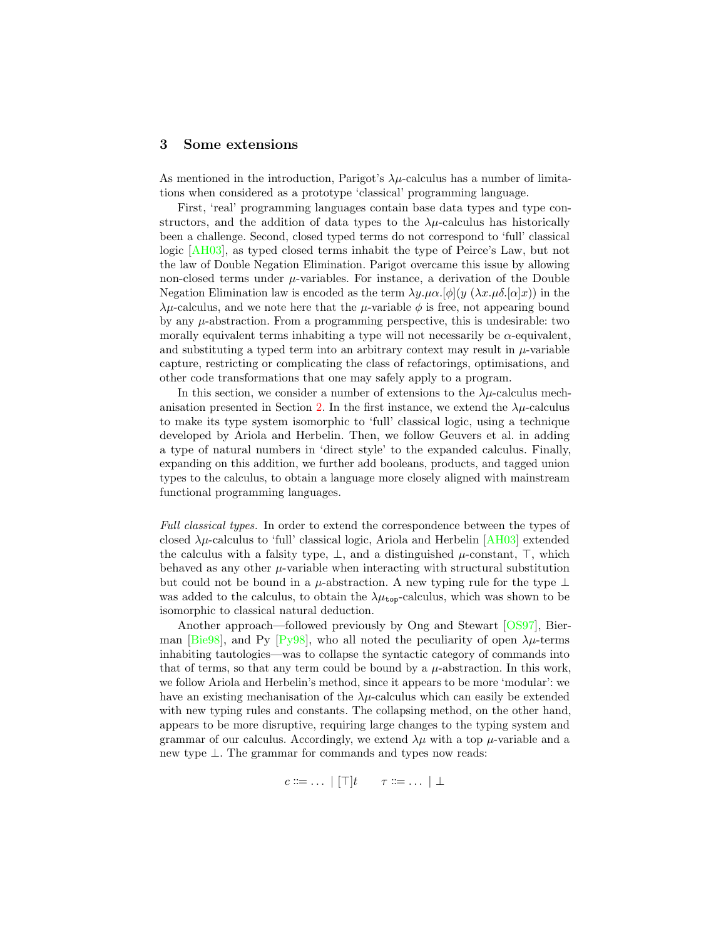# <span id="page-10-0"></span>3 Some extensions

As mentioned in the introduction, Parigot's  $\lambda \mu$ -calculus has a number of limitations when considered as a prototype 'classical' programming language.

First, 'real' programming languages contain base data types and type constructors, and the addition of data types to the  $\lambda \mu$ -calculus has historically been a challenge. Second, closed typed terms do not correspond to 'full' classical logic [\[AH03\]](#page-17-5), as typed closed terms inhabit the type of Peirce's Law, but not the law of Double Negation Elimination. Parigot overcame this issue by allowing non-closed terms under  $\mu$ -variables. For instance, a derivation of the Double Negation Elimination law is encoded as the term  $\lambda y.\mu\alpha.[\phi](y (\lambda x.\mu\delta.[\alpha]x))$  in the  $\lambda \mu$ -calculus, and we note here that the  $\mu$ -variable  $\phi$  is free, not appearing bound by any  $\mu$ -abstraction. From a programming perspective, this is undesirable: two morally equivalent terms inhabiting a type will not necessarily be  $\alpha$ -equivalent, and substituting a typed term into an arbitrary context may result in  $\mu$ -variable capture, restricting or complicating the class of refactorings, optimisations, and other code transformations that one may safely apply to a program.

In this section, we consider a number of extensions to the  $\lambda \mu$ -calculus mech-anisation presented in Section [2.](#page-4-0) In the first instance, we extend the  $\lambda \mu$ -calculus to make its type system isomorphic to 'full' classical logic, using a technique developed by Ariola and Herbelin. Then, we follow Geuvers et al. in adding a type of natural numbers in 'direct style' to the expanded calculus. Finally, expanding on this addition, we further add booleans, products, and tagged union types to the calculus, to obtain a language more closely aligned with mainstream functional programming languages.

Full classical types. In order to extend the correspondence between the types of closed  $\lambda \mu$ -calculus to 'full' classical logic, Ariola and Herbelin [\[AH03\]](#page-17-5) extended the calculus with a falsity type,  $\perp$ , and a distinguished  $\mu$ -constant,  $\top$ , which behaved as any other  $\mu$ -variable when interacting with structural substitution but could not be bound in a  $\mu$ -abstraction. A new typing rule for the type  $\perp$ was added to the calculus, to obtain the  $\lambda\mu_{\text{top}}$ -calculus, which was shown to be isomorphic to classical natural deduction.

Another approach—followed previously by Ong and Stewart [\[OS97\]](#page-18-16), Bier-man [\[Bie98\]](#page-17-4), and Py [\[Py98\]](#page-18-24), who all noted the peculiarity of open  $\lambda\mu$ -terms inhabiting tautologies—was to collapse the syntactic category of commands into that of terms, so that any term could be bound by a  $\mu$ -abstraction. In this work, we follow Ariola and Herbelin's method, since it appears to be more 'modular': we have an existing mechanisation of the  $\lambda\mu$ -calculus which can easily be extended with new typing rules and constants. The collapsing method, on the other hand, appears to be more disruptive, requiring large changes to the typing system and grammar of our calculus. Accordingly, we extend  $\lambda \mu$  with a top  $\mu$ -variable and a new type ⊥. The grammar for commands and types now reads:

$$
c ::= \dots | [\top]t \quad \tau ::= \dots | \bot
$$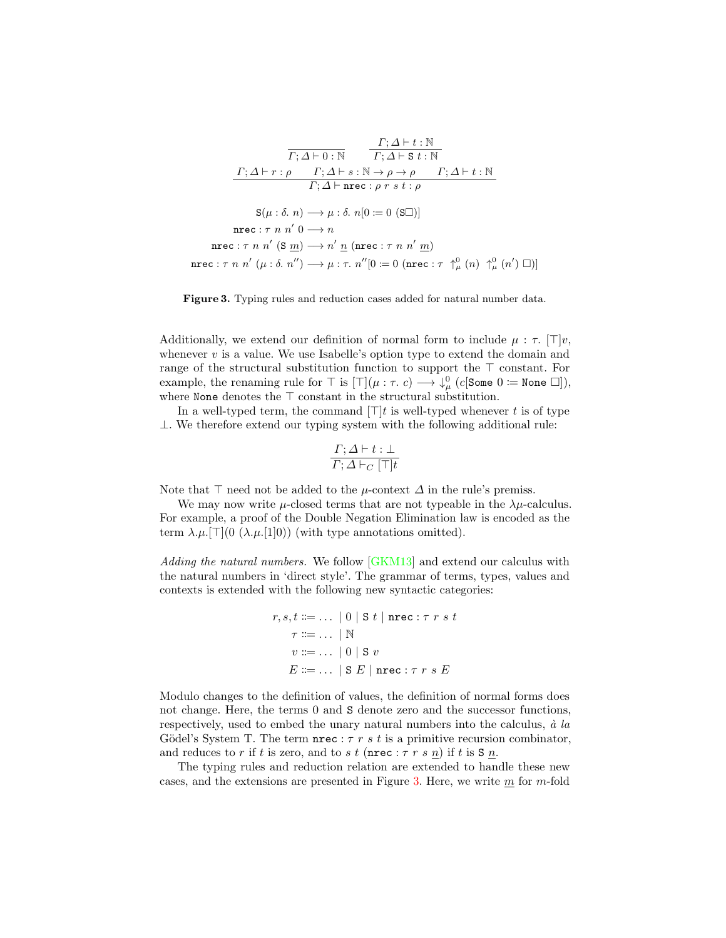$$
\frac{\Gamma; \Delta \vdash t : \mathbb{N}}{\Gamma; \Delta \vdash r : \rho \qquad \Gamma; \Delta \vdash s : \mathbb{N}}
$$
\n
$$
\frac{\Gamma; \Delta \vdash r : \rho \qquad \Gamma; \Delta \vdash s : \mathbb{N} \to \rho \to \rho \qquad \Gamma; \Delta \vdash t : \mathbb{N}}{\Gamma; \Delta \vdash \text{nrec} : \rho \ r \ s \ t : \rho}
$$
\n
$$
\mathbf{S}(\mu : \delta, n) \longrightarrow \mu : \delta. \ n[0 := 0 \ (\mathbf{S} \Box)]
$$
\n
$$
\text{nrec} : \tau \ n \ n' \ (S \ m) \longrightarrow n'
$$
\n
$$
\text{nrec} : \tau \ n \ n' \ (S \ m) \longrightarrow n' \ n \ (\text{nrec} : \tau \ n \ n' \ m)
$$
\n
$$
\text{nrec} : \tau \ n \ n' \ (\mu : \delta. \ n'') \longrightarrow \mu : \tau. \ n''[0 := 0 \ (\text{nrec} : \tau \ \uparrow^0_{\mu} (n) \ \uparrow^0_{\mu} (n') \ \Box)]
$$

<span id="page-11-0"></span>Figure 3. Typing rules and reduction cases added for natural number data.

Additionally, we extend our definition of normal form to include  $\mu : \tau$ .  $[\top]v$ , whenever  $v$  is a value. We use Isabelle's option type to extend the domain and range of the structural substitution function to support the  $\top$  constant. For example, the renaming rule for  $\top$  is  $[\top](\mu : \tau : c) \longrightarrow \int_{\mu}^{0} (c[\text{Some } 0 := \text{None } \Box]),$ where None denotes the  $\top$  constant in the structural substitution.

In a well-typed term, the command  $|\top|t$  is well-typed whenever t is of type  $\perp$ . We therefore extend our typing system with the following additional rule:

$$
\frac{\Gamma;\varDelta\vdash t:\bot}{\Gamma;\varDelta\vdash_C[\top]t}
$$

Note that  $\top$  need not be added to the  $\mu$ -context  $\Delta$  in the rule's premiss.

We may now write  $\mu$ -closed terms that are not typeable in the  $\lambda \mu$ -calculus. For example, a proof of the Double Negation Elimination law is encoded as the term  $\lambda \mu$ .[T](0 ( $\lambda \mu$ .[1]0)) (with type annotations omitted).

Adding the natural numbers. We follow *GKM13* and extend our calculus with the natural numbers in 'direct style'. The grammar of terms, types, values and contexts is extended with the following new syntactic categories:

$$
r, s, t ::= ... \mid 0 \mid S \mid \text{nrec}: \tau \ r \ s \ t
$$

$$
\tau ::= ... \mid N
$$

$$
v ::= ... \mid 0 \mid S \ v
$$

$$
E ::= ... \mid S \mid \text{nrec}: \tau \ r \ s \ E
$$

Modulo changes to the definition of values, the definition of normal forms does not change. Here, the terms 0 and S denote zero and the successor functions, respectively, used to embed the unary natural numbers into the calculus,  $\dot{a}$  la Gödel's System T. The term nrec :  $\tau$  r s t is a primitive recursion combinator, and reduces to r if t is zero, and to s t (nrec:  $\tau$  r s n) if t is S n.

The typing rules and reduction relation are extended to handle these new cases, and the extensions are presented in Figure [3.](#page-11-0) Here, we write  $\underline{m}$  for m-fold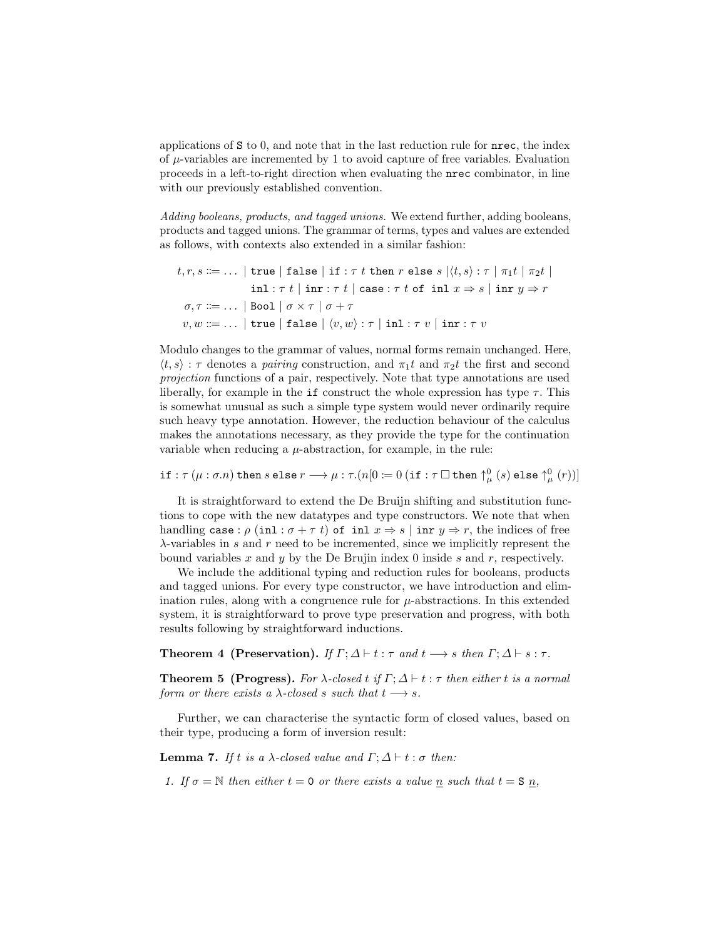applications of S to 0, and note that in the last reduction rule for nrec, the index of  $\mu$ -variables are incremented by 1 to avoid capture of free variables. Evaluation proceeds in a left-to-right direction when evaluating the nrec combinator, in line with our previously established convention.

Adding booleans, products, and tagged unions. We extend further, adding booleans, products and tagged unions. The grammar of terms, types and values are extended as follows, with contexts also extended in a similar fashion:

```
t, r, s ::= \dots | true | false | if : τ t then r else s | \langle t, s \rangle : \tau | \pi_1 t | \pi_2 t |inl : \tau t | inr : \tau t | case : \tau t of inl x \Rightarrow s | inr y \Rightarrow r\sigma, \tau ::= \dots \mid Bool \mid \sigma \times \tau \mid \sigma + \tauv, w ::= \dots | true | false | \langle v, w \rangle : \tau | inl : \tau v | inr : \tau v
```
Modulo changes to the grammar of values, normal forms remain unchanged. Here,  $\langle t, s \rangle : \tau$  denotes a pairing construction, and  $\pi_1 t$  and  $\pi_2 t$  the first and second projection functions of a pair, respectively. Note that type annotations are used liberally, for example in the if construct the whole expression has type  $\tau$ . This is somewhat unusual as such a simple type system would never ordinarily require such heavy type annotation. However, the reduction behaviour of the calculus makes the annotations necessary, as they provide the type for the continuation variable when reducing a  $\mu$ -abstraction, for example, in the rule:

 $\texttt{if} : \tau \left( \mu : \sigma.n \right) \texttt{then} \ s \ \texttt{else} \ r \longrightarrow \mu : \tau.(n[0 \coloneqq 0 \ (\texttt{if} : \tau \ \Box \ \texttt{then} \uparrow^0_\mu \ (s) \ \texttt{else} \ \uparrow^0_\mu \ (r))]$ 

It is straightforward to extend the De Bruijn shifting and substitution functions to cope with the new datatypes and type constructors. We note that when handling case :  $\rho$  (inl :  $\sigma + \tau t$ ) of inl  $x \Rightarrow s$  | inr  $y \Rightarrow r$ , the indices of free  $\lambda$ -variables in s and r need to be incremented, since we implicitly represent the bound variables  $x$  and  $y$  by the De Brujin index 0 inside  $s$  and  $r$ , respectively.

We include the additional typing and reduction rules for booleans, products and tagged unions. For every type constructor, we have introduction and elimination rules, along with a congruence rule for  $\mu$ -abstractions. In this extended system, it is straightforward to prove type preservation and progress, with both results following by straightforward inductions.

**Theorem 4 (Preservation).** If  $\Gamma: \Delta \vdash t : \tau$  and  $t \longrightarrow s$  then  $\Gamma: \Delta \vdash s : \tau$ .

**Theorem 5 (Progress).** For  $\lambda$ -closed t if  $\Gamma$ ;  $\Delta \vdash t : \tau$  then either t is a normal form or there exists a  $\lambda$ -closed s such that  $t \rightarrow s$ .

Further, we can characterise the syntactic form of closed values, based on their type, producing a form of inversion result:

<span id="page-12-0"></span>**Lemma 7.** If t is a  $\lambda$ -closed value and  $\Gamma$ ;  $\Delta \vdash t : \sigma$  then:

1. If  $\sigma = \mathbb{N}$  then either  $t = 0$  or there exists a value <u>n</u> such that  $t = S$  n,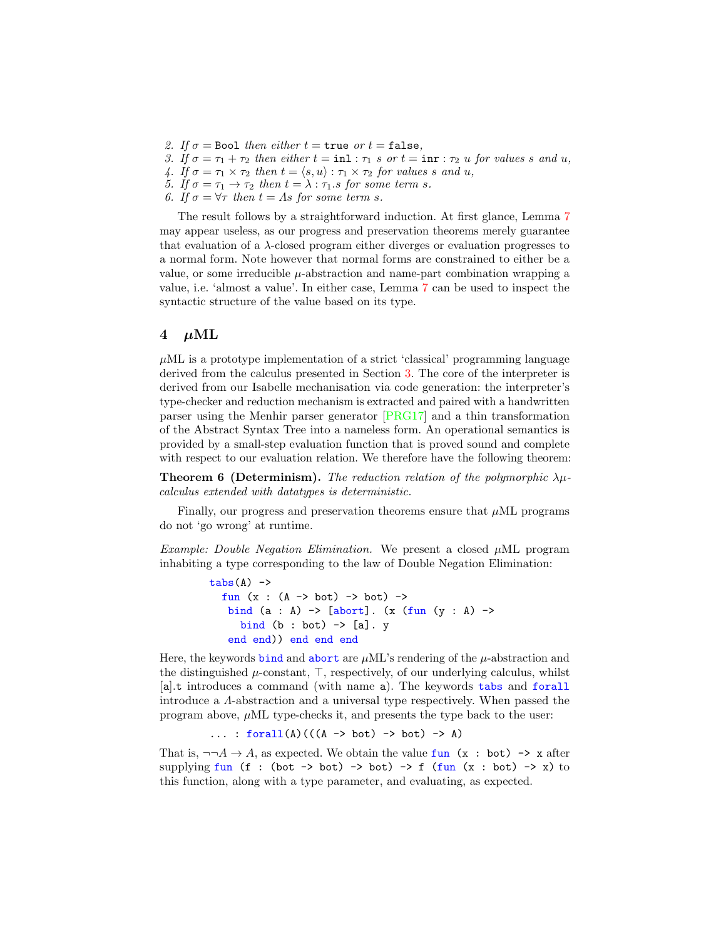- 2. If  $\sigma$  = Bool then either  $t =$  true or  $t =$  false,
- 3. If  $\sigma = \tau_1 + \tau_2$  then either  $t = \text{inl} : \tau_1$  s or  $t = \text{inr} : \tau_2$  u for values s and u,
- 4. If  $\sigma = \tau_1 \times \tau_2$  then  $t = \langle s, u \rangle : \tau_1 \times \tau_2$  for values s and u,
- 5. If  $\sigma = \tau_1 \rightarrow \tau_2$  then  $t = \lambda : \tau_1$  s for some term s.
- 6. If  $\sigma = \forall \tau$  then  $t = As$  for some term s.

The result follows by a straightforward induction. At first glance, Lemma [7](#page-12-0) may appear useless, as our progress and preservation theorems merely guarantee that evaluation of a λ-closed program either diverges or evaluation progresses to a normal form. Note however that normal forms are constrained to either be a value, or some irreducible  $\mu$ -abstraction and name-part combination wrapping a value, i.e. 'almost a value'. In either case, Lemma [7](#page-12-0) can be used to inspect the syntactic structure of the value based on its type.

# <span id="page-13-0"></span>4  $\mu$ ML

 $\mu$ ML is a prototype implementation of a strict 'classical' programming language derived from the calculus presented in Section [3.](#page-10-0) The core of the interpreter is derived from our Isabelle mechanisation via code generation: the interpreter's type-checker and reduction mechanism is extracted and paired with a handwritten parser using the Menhir parser generator [\[PRG17\]](#page-18-25) and a thin transformation of the Abstract Syntax Tree into a nameless form. An operational semantics is provided by a small-step evaluation function that is proved sound and complete with respect to our evaluation relation. We therefore have the following theorem:

**Theorem 6 (Determinism).** The reduction relation of the polymorphic  $\lambda \mu$ calculus extended with datatypes is deterministic.

Finally, our progress and preservation theorems ensure that  $\mu$ ML programs do not 'go wrong' at runtime.

Example: Double Negation Elimination. We present a closed  $\mu$ ML program inhabiting a type corresponding to the law of Double Negation Elimination:

```
tabs(A) ->
  fun (x : (A \rightarrow bot) \rightarrow bot) ->
   bind (a : A) \rightarrow [abort]. (x (fun (y : A) \rightarrowbind (b : bot) -> [a]. y
    end end)) end end end
```
Here, the keywords bind and abort are  $\mu$ ML's rendering of the  $\mu$ -abstraction and the distinguished  $\mu$ -constant,  $\top$ , respectively, of our underlying calculus, whilst [a].t introduces a command (with name a). The keywords tabs and forall introduce a Λ-abstraction and a universal type respectively. When passed the program above,  $\mu$ ML type-checks it, and presents the type back to the user:

... : forall(A)((( $A \rightarrow bot$ ) -> bot) -> A)

That is,  $\neg\neg A \rightarrow A$ , as expected. We obtain the value fun (x : bot)  $\neg$  x after supplying fun (f : (bot -> bot) -> bot) -> f (fun  $(x : bot)$  -> x) to this function, along with a type parameter, and evaluating, as expected.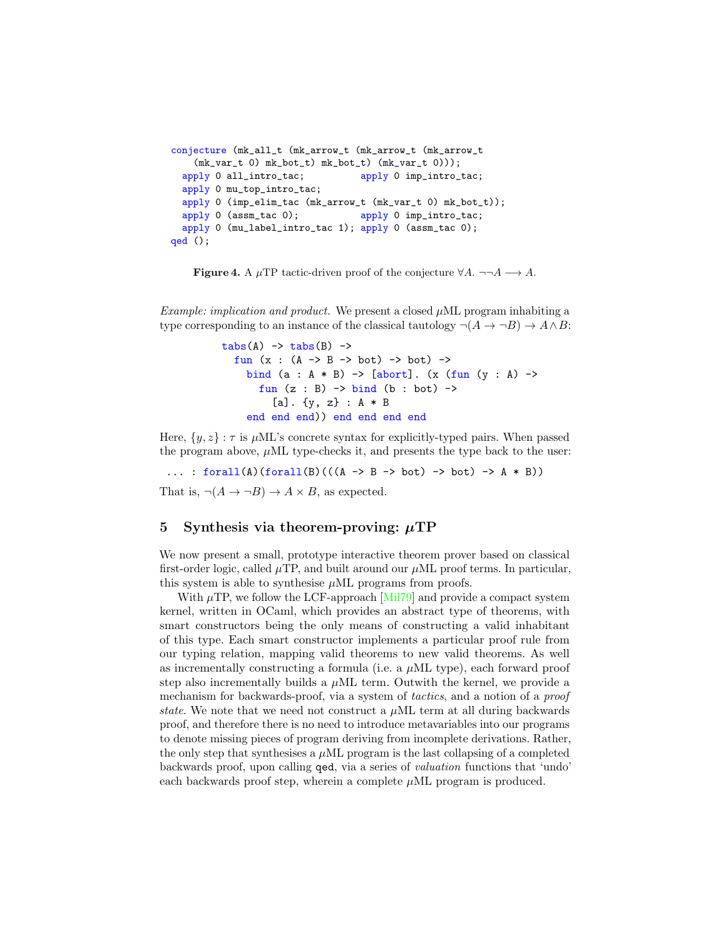```
conjecture (mk_all_t (mk_arrow_t (mk_arrow_t (mk_arrow_t
    (mk_var_t 0) mk_bot_t) mk_bot_t) (mk_var_t 0));
  apply 0 all_intro_tac;    denoting apply 0 imp_intro_tac;
  apply 0 mu_top_intro_tac;
  apply 0 (imp_elim_tac (mk_arrow_t (mk_var_t 0) mk_bot_t));
  apply 0 (assm_tac 0); <br> apply 0 imp_intro_tac;
  apply 0 (mu_label_intro_tac 1); apply 0 (assm_tac 0);
qed ();
```
<span id="page-14-1"></span>**Figure 4.** A  $\mu$ TP tactic-driven proof of the conjecture  $\forall A$ .  $\neg\neg A \longrightarrow A$ .

Example: implication and product. We present a closed  $\mu$ ML program inhabiting a type corresponding to an instance of the classical tautology  $\neg(A \rightarrow \neg B) \rightarrow A \wedge B$ :

```
tabs(A) -> tabs(B) ->
  fun (x : (A \rightarrow B \rightarrow bot) \rightarrow bot) ->
     bind (a : A * B) -> [abort]. (x (fun (y : A) ->
       fun (z : B) \rightarrow bind (b : bot) \rightarrow[a]. \{y, z\} : A * Bend end end)) end end end end
```
Here,  $\{y, z\}$ :  $\tau$  is  $\mu$ ML's concrete syntax for explicitly-typed pairs. When passed the program above,  $\mu$ ML type-checks it, and presents the type back to the user:

... : forall(A)(forall(B)(((A -> B -> bot) -> bot) -> A \* B)) That is,  $\neg(A \rightarrow \neg B) \rightarrow A \times B$ , as expected.

## <span id="page-14-0"></span>5 Synthesis via theorem-proving:  $\mu \text{TP}$

We now present a small, prototype interactive theorem prover based on classical first-order logic, called  $\mu$ TP, and built around our  $\mu$ ML proof terms. In particular, this system is able to synthesise  $\mu$ ML programs from proofs.

With  $\mu$ TP, we follow the LCF-approach [\[Mil79\]](#page-18-26) and provide a compact system kernel, written in OCaml, which provides an abstract type of theorems, with smart constructors being the only means of constructing a valid inhabitant of this type. Each smart constructor implements a particular proof rule from our typing relation, mapping valid theorems to new valid theorems. As well as incrementally constructing a formula (i.e. a  $\mu$ ML type), each forward proof step also incrementally builds a  $\mu$ ML term. Outwith the kernel, we provide a mechanism for backwards-proof, via a system of tactics, and a notion of a *proof* state. We note that we need not construct a  $\mu$ ML term at all during backwards proof, and therefore there is no need to introduce metavariables into our programs to denote missing pieces of program deriving from incomplete derivations. Rather, the only step that synthesises a  $\mu$ ML program is the last collapsing of a completed backwards proof, upon calling qed, via a series of valuation functions that 'undo' each backwards proof step, wherein a complete  $\mu$ ML program is produced.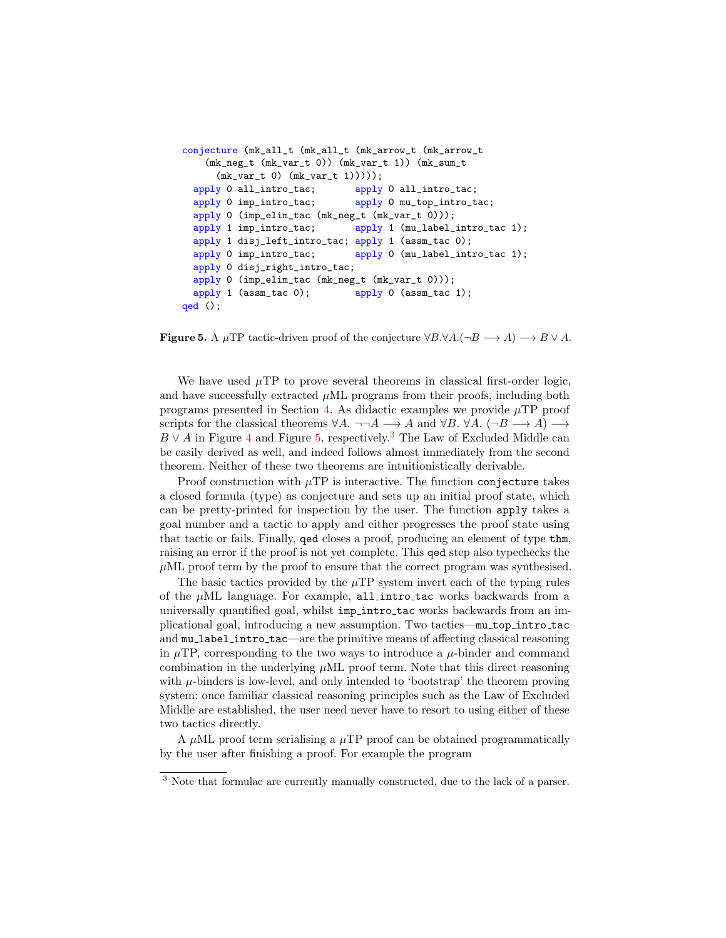```
conjecture (mk_all_t (mk_all_t (mk_arrow_t (mk_arrow_t
    (mk_neg_t (mk_var_t 0)) (mk_var_t 1)) (mk_sum_t
  (mk_var_t 0) (mk_var_t 1))));<br>apply 0 all_intro_tac; apply
                               apply 0 all_intro_tac;
  apply 0 imp_intro_tac; apply 0 mu_top_intro_tac;
  apply 0 (imp_elim_tac (mk_neg_t (mk_var_t 0)));
  apply 1 imp_intro_tac; apply 1 (mu_label_intro_tac 1);
  apply 1 disj_left_intro_tac; apply 1 (assm_tac 0);
  apply 0 imp_intro_tac; apply 0 (mu_label_intro_tac 1);
  apply 0 disj_right_intro_tac;
  apply 0 (imp_elim_tac (mk_neg_t (mk_var_t 0)));
  apply 1 (assm\_tac 0); apply 0 (assm\_tac 1);qed ();
```
<span id="page-15-0"></span>**Figure 5.** A  $\mu$ TP tactic-driven proof of the conjecture  $\forall B.\forall A.(\neg B \longrightarrow A) \longrightarrow B \lor A$ .

We have used  $\mu$ TP to prove several theorems in classical first-order logic, and have successfully extracted  $\mu$ ML programs from their proofs, including both programs presented in Section [4.](#page-13-0) As didactic examples we provide  $\mu$ TP proof scripts for the classical theorems  $\forall A$ .  $\neg\neg A \longrightarrow A$  and  $\forall B$ .  $\forall A$ .  $(\neg B \longrightarrow A) \longrightarrow$  $B \vee A$  in Figure [4](#page-14-1) and Figure [5,](#page-15-0) respectively.<sup>[3](#page-15-1)</sup> The Law of Excluded Middle can be easily derived as well, and indeed follows almost immediately from the second theorem. Neither of these two theorems are intuitionistically derivable.

Proof construction with  $\mu$ TP is interactive. The function conjecture takes a closed formula (type) as conjecture and sets up an initial proof state, which can be pretty-printed for inspection by the user. The function apply takes a goal number and a tactic to apply and either progresses the proof state using that tactic or fails. Finally, qed closes a proof, producing an element of type thm, raising an error if the proof is not yet complete. This qed step also typechecks the  $\mu$ ML proof term by the proof to ensure that the correct program was synthesised.

The basic tactics provided by the  $\mu$ TP system invert each of the typing rules of the  $\mu$ ML language. For example, all intro-tac works backwards from a universally quantified goal, whilst imp\_intro\_tac works backwards from an implicational goal, introducing a new assumption. Two tactics—mu top intro tac and mu\_label\_intro\_tac—are the primitive means of affecting classical reasoning in  $\mu$ TP, corresponding to the two ways to introduce a  $\mu$ -binder and command combination in the underlying  $\mu$ ML proof term. Note that this direct reasoning with  $\mu$ -binders is low-level, and only intended to 'bootstrap' the theorem proving system: once familiar classical reasoning principles such as the Law of Excluded Middle are established, the user need never have to resort to using either of these two tactics directly.

A  $\mu$ ML proof term serialising a  $\mu$ TP proof can be obtained programmatically by the user after finishing a proof. For example the program

<span id="page-15-1"></span><sup>3</sup> Note that formulae are currently manually constructed, due to the lack of a parser.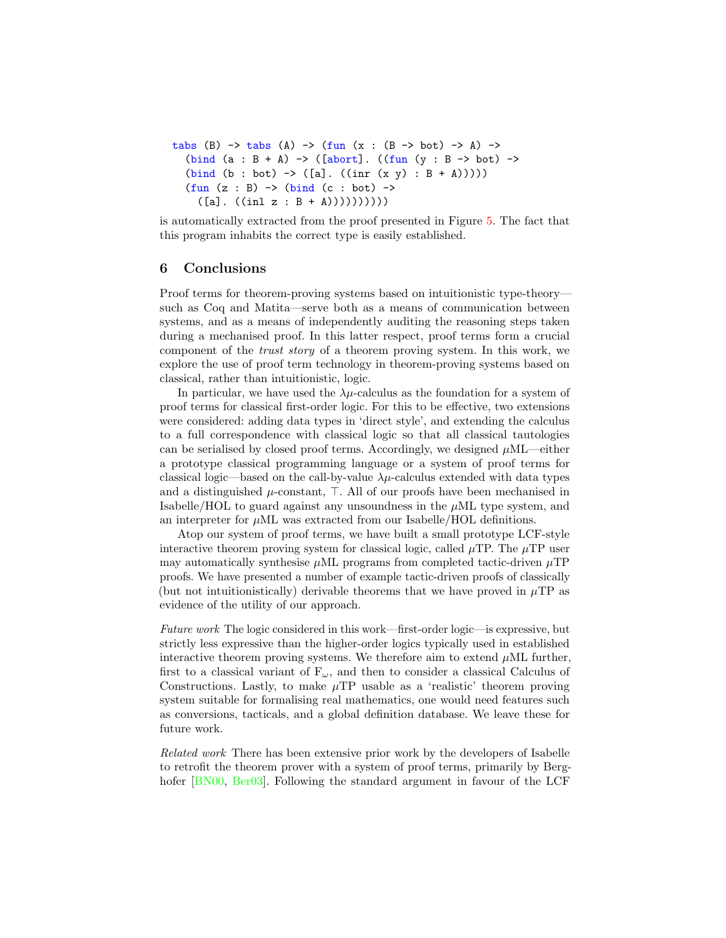```
tabs (B) \rightarrow tabs (A) \rightarrow (fun (x : (B \rightarrow bot) \rightarrow A) \rightarrow(bind (a : B + A) \rightarrow (a<sub>bot</sub>)). ((fun (y : B -> bot) ->
   (bind (b : bot) -> ([a]. ((inr (x, y) : B + A)))))
   (fun (z : B) \rightarrow (bind (c : bot) \rightarrow([a] \cdot ((in1 z : B + A))))))))
```
is automatically extracted from the proof presented in Figure [5.](#page-15-0) The fact that this program inhabits the correct type is easily established.

## 6 Conclusions

Proof terms for theorem-proving systems based on intuitionistic type-theory such as Coq and Matita—serve both as a means of communication between systems, and as a means of independently auditing the reasoning steps taken during a mechanised proof. In this latter respect, proof terms form a crucial component of the trust story of a theorem proving system. In this work, we explore the use of proof term technology in theorem-proving systems based on classical, rather than intuitionistic, logic.

In particular, we have used the  $\lambda \mu$ -calculus as the foundation for a system of proof terms for classical first-order logic. For this to be effective, two extensions were considered: adding data types in 'direct style', and extending the calculus to a full correspondence with classical logic so that all classical tautologies can be serialised by closed proof terms. Accordingly, we designed  $\mu$ ML—either a prototype classical programming language or a system of proof terms for classical logic—based on the call-by-value  $\lambda \mu$ -calculus extended with data types and a distinguished  $\mu$ -constant,  $\top$ . All of our proofs have been mechanised in Isabelle/HOL to guard against any unsoundness in the  $\mu$ ML type system, and an interpreter for  $\mu$ ML was extracted from our Isabelle/HOL definitions.

Atop our system of proof terms, we have built a small prototype LCF-style interactive theorem proving system for classical logic, called  $\mu$ TP. The  $\mu$ TP user may automatically synthesise  $\mu$ ML programs from completed tactic-driven  $\mu$ TP proofs. We have presented a number of example tactic-driven proofs of classically (but not intuitionistically) derivable theorems that we have proved in  $\mu$ TP as evidence of the utility of our approach.

Future work The logic considered in this work—first-order logic—is expressive, but strictly less expressive than the higher-order logics typically used in established interactive theorem proving systems. We therefore aim to extend  $\mu$ ML further, first to a classical variant of  $F_{\omega}$ , and then to consider a classical Calculus of Constructions. Lastly, to make  $\mu$ TP usable as a 'realistic' theorem proving system suitable for formalising real mathematics, one would need features such as conversions, tacticals, and a global definition database. We leave these for future work.

Related work There has been extensive prior work by the developers of Isabelle to retrofit the theorem prover with a system of proof terms, primarily by Berg-hofer [\[BN00,](#page-17-10) [Ber03\]](#page-17-11). Following the standard argument in favour of the LCF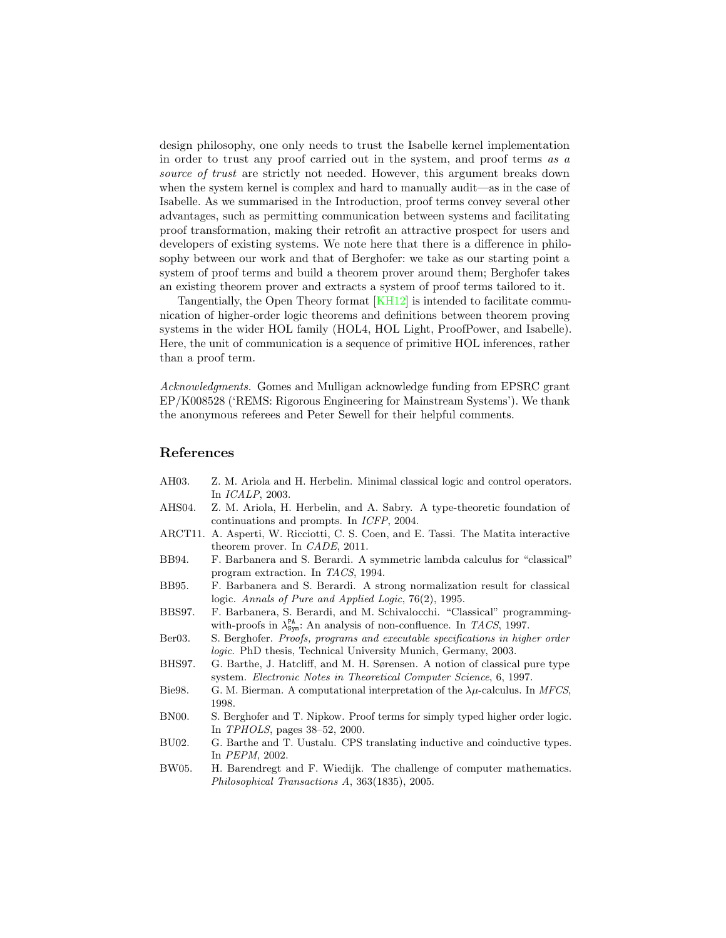design philosophy, one only needs to trust the Isabelle kernel implementation in order to trust any proof carried out in the system, and proof terms as a source of trust are strictly not needed. However, this argument breaks down when the system kernel is complex and hard to manually audit—as in the case of Isabelle. As we summarised in the Introduction, proof terms convey several other advantages, such as permitting communication between systems and facilitating proof transformation, making their retrofit an attractive prospect for users and developers of existing systems. We note here that there is a difference in philosophy between our work and that of Berghofer: we take as our starting point a system of proof terms and build a theorem prover around them; Berghofer takes an existing theorem prover and extracts a system of proof terms tailored to it.

Tangentially, the Open Theory format [\[KH12\]](#page-18-27) is intended to facilitate communication of higher-order logic theorems and definitions between theorem proving systems in the wider HOL family (HOL4, HOL Light, ProofPower, and Isabelle). Here, the unit of communication is a sequence of primitive HOL inferences, rather than a proof term.

Acknowledgments. Gomes and Mulligan acknowledge funding from EPSRC grant EP/K008528 ('REMS: Rigorous Engineering for Mainstream Systems'). We thank the anonymous referees and Peter Sewell for their helpful comments.

#### References

- <span id="page-17-5"></span>AH03. Z. M. Ariola and H. Herbelin. Minimal classical logic and control operators. In ICALP, 2003.
- <span id="page-17-6"></span>AHS04. Z. M. Ariola, H. Herbelin, and A. Sabry. A type-theoretic foundation of continuations and prompts. In ICFP, 2004.
- <span id="page-17-7"></span>ARCT11. A. Asperti, W. Ricciotti, C. S. Coen, and E. Tassi. The Matita interactive theorem prover. In CADE, 2011.
- <span id="page-17-0"></span>BB94. F. Barbanera and S. Berardi. A symmetric lambda calculus for "classical" program extraction. In TACS, 1994.
- <span id="page-17-1"></span>BB95. F. Barbanera and S. Berardi. A strong normalization result for classical logic. Annals of Pure and Applied Logic, 76(2), 1995.
- <span id="page-17-3"></span>BBS97. F. Barbanera, S. Berardi, and M. Schivalocchi. "Classical" programmingwith-proofs in  $\lambda_{\text{Sym}}^{\text{PA}}$ : An analysis of non-confluence. In TACS, 1997.
- <span id="page-17-11"></span>Ber03. S. Berghofer. Proofs, programs and executable specifications in higher order logic. PhD thesis, Technical University Munich, Germany, 2003.
- <span id="page-17-2"></span>BHS97. G. Barthe, J. Hatcliff, and M. H. Sørensen. A notion of classical pure type system. Electronic Notes in Theoretical Computer Science, 6, 1997.
- <span id="page-17-4"></span>Bie98. G. M. Bierman. A computational interpretation of the  $\lambda \mu$ -calculus. In MFCS, 1998.
- <span id="page-17-10"></span>BN00. S. Berghofer and T. Nipkow. Proof terms for simply typed higher order logic. In TPHOLS, pages 38–52, 2000.
- <span id="page-17-9"></span>BU02. G. Barthe and T. Uustalu. CPS translating inductive and coinductive types. In PEPM, 2002.
- <span id="page-17-8"></span>BW05. H. Barendregt and F. Wiedijk. The challenge of computer mathematics. Philosophical Transactions A, 363(1835), 2005.